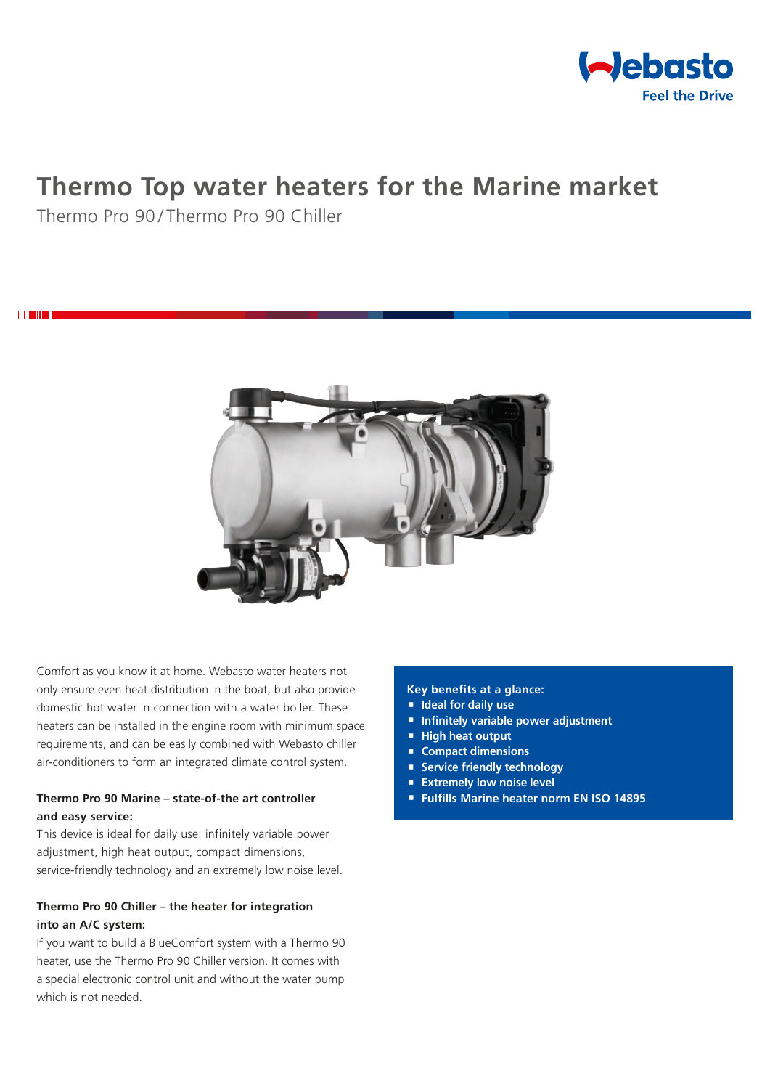

# **Thermo Top water heaters for the Marine market**

Thermo Pro 90/Thermo Pro 90 Chiller

i **Title** 



Comfort as you know it at home. Webasto water heaters not only ensure even heat distribution in the boat, but also provide domestic hot water in connection with a water boiler. These heaters can be installed in the engine room with minimum space requirements, and can be easily combined with Webasto chiller air-conditioners to form an integrated climate control system.

## **Thermo Pro 90 Marine – state-of-the art controller and easy service:**

This device is ideal for daily use: infinitely variable power adjustment, high heat output, compact dimensions, service-friendly technology and an extremely low noise level.

# **Thermo Pro 90 Chiller – the heater for integration into an A/C system:**

If you want to build a BlueComfort system with a Thermo 90 heater, use the Thermo Pro 90 Chiller version. It comes with a special electronic control unit and without the water pump which is not needed.

#### **Key benefits at a glance:**

- **Ideal for daily use**
- **Infinitely variable power adjustment**
- **High heat output**
- **Compact dimensions**
- **Service friendly technology**
- **Extremely low noise level**
- **Fulfills Marine heater norm EN ISO 14895**